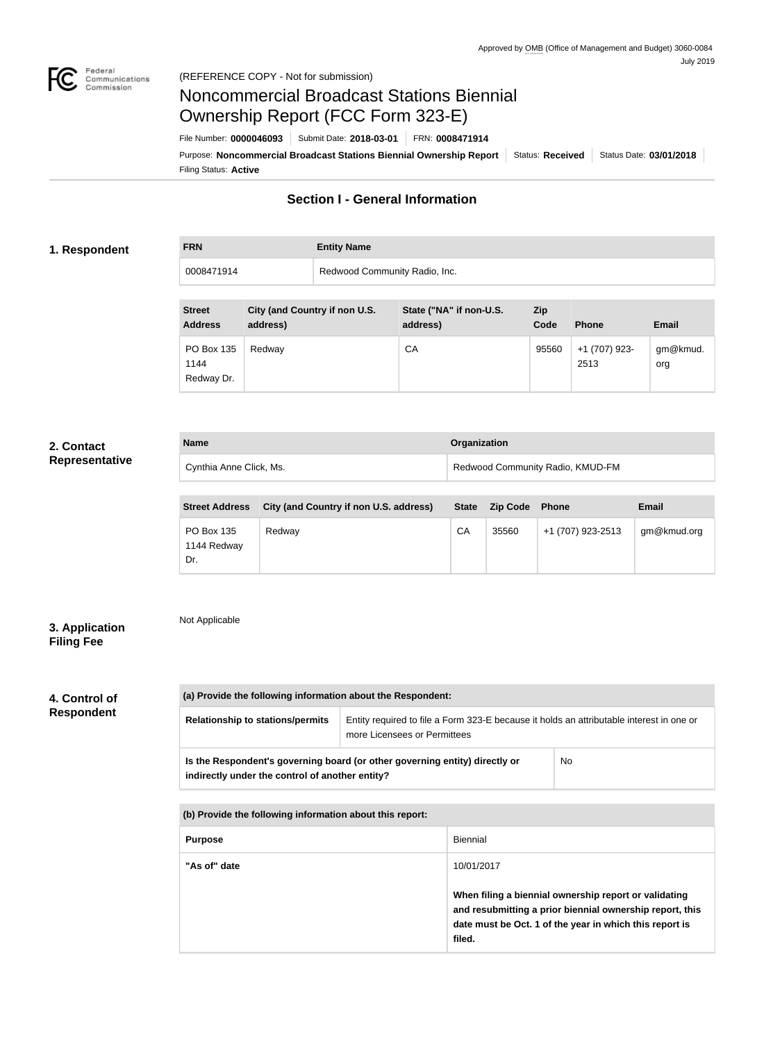

# Noncommercial Broadcast Stations Biennial Ownership Report (FCC Form 323-E)

Filing Status: **Active** Purpose: Noncommercial Broadcast Stations Biennial Ownership Report | Status: Received | Status Date: 03/01/2018 File Number: **0000046093** Submit Date: **2018-03-01** FRN: **0008471914**

# **Section I - General Information**

### **1. Respondent**

**FRN Entity Name** 0008471914 **Redwood Community Radio, Inc.** 

| <b>Street</b><br><b>Address</b>  | City (and Country if non U.S.<br>address) | State ("NA" if non-U.S.<br>address) | Zip<br>Code | <b>Phone</b>          | <b>Email</b>    |
|----------------------------------|-------------------------------------------|-------------------------------------|-------------|-----------------------|-----------------|
| PO Box 135<br>1144<br>Redway Dr. | Redway                                    | CA                                  | 95560       | +1 (707) 923-<br>2513 | gm@kmud.<br>org |

# **2. Contact Representative**

| <b>Name</b>             | <b>Organization</b>              |
|-------------------------|----------------------------------|
| Cynthia Anne Click, Ms. | Redwood Community Radio, KMUD-FM |

| <b>Street Address</b>            | City (and Country if non U.S. address) | <b>State</b> | <b>Zip Code</b> | <b>Phone</b>      | Email       |
|----------------------------------|----------------------------------------|--------------|-----------------|-------------------|-------------|
| PO Box 135<br>1144 Redway<br>Dr. | Redwav                                 | СA           | 35560           | +1 (707) 923-2513 | gm@kmud.org |

# **3. Application Filing Fee**

# Not Applicable

**4. Control of Respondent**

**(a) Provide the following information about the Respondent: Relationship to stations/permits** | Entity required to file a Form 323-E because it holds an attributable interest in one or more Licensees or Permittees **Is the Respondent's governing board (or other governing entity) directly or indirectly under the control of another entity?** No **(b) Provide the following information about this report:**

| <b>Purpose</b> | <b>Biennial</b>                                                                                                                                                                        |
|----------------|----------------------------------------------------------------------------------------------------------------------------------------------------------------------------------------|
| "As of" date   | 10/01/2017                                                                                                                                                                             |
|                | When filing a biennial ownership report or validating<br>and resubmitting a prior biennial ownership report, this<br>date must be Oct. 1 of the year in which this report is<br>filed. |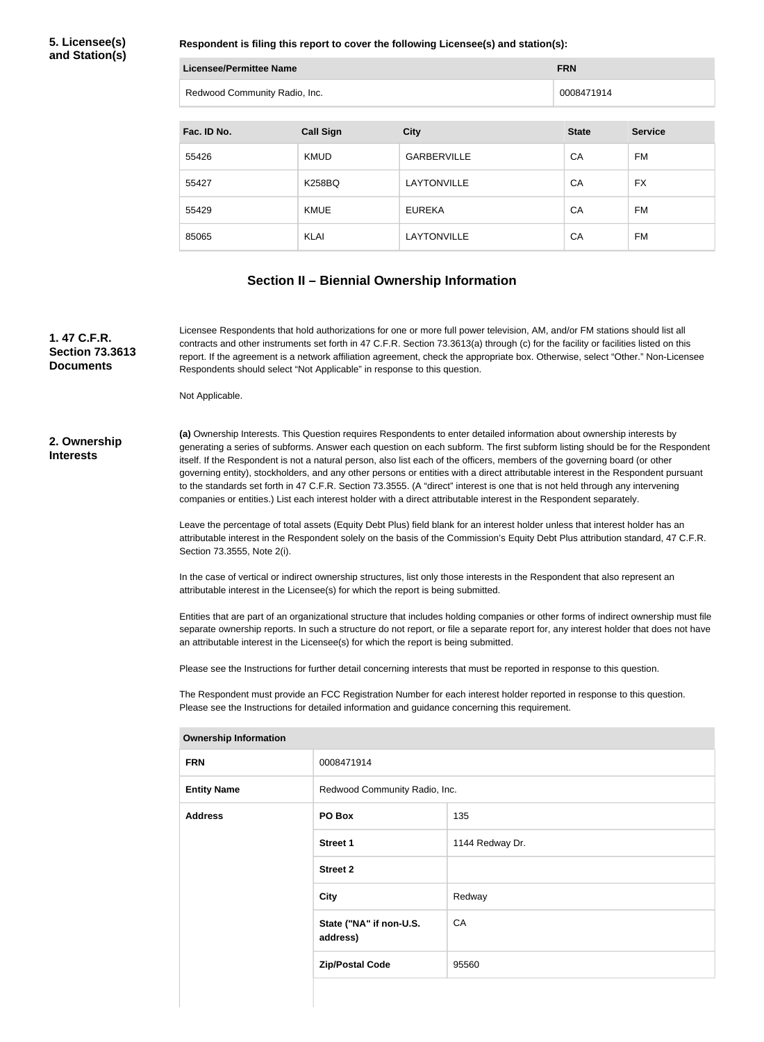**5. Licensee(s) and Station(s)**

**Respondent is filing this report to cover the following Licensee(s) and station(s):**

| Licensee/Permittee Name       | <b>FRN</b> |
|-------------------------------|------------|
| Redwood Community Radio, Inc. | 0008471914 |

| Fac. ID No. | <b>Call Sign</b> | <b>City</b>        | <b>State</b> | <b>Service</b> |
|-------------|------------------|--------------------|--------------|----------------|
| 55426       | <b>KMUD</b>      | <b>GARBERVILLE</b> | CA           | FM             |
| 55427       | <b>K258BQ</b>    | LAYTONVILLE        | CA           | <b>FX</b>      |
| 55429       | <b>KMUE</b>      | <b>EUREKA</b>      | CA           | <b>FM</b>      |
| 85065       | KLAI             | LAYTONVILLE        | CA           | FM             |

### **Section II – Biennial Ownership Information**

**1. 47 C.F.R. Section 73.3613 Documents**

Licensee Respondents that hold authorizations for one or more full power television, AM, and/or FM stations should list all contracts and other instruments set forth in 47 C.F.R. Section 73.3613(a) through (c) for the facility or facilities listed on this report. If the agreement is a network affiliation agreement, check the appropriate box. Otherwise, select "Other." Non-Licensee Respondents should select "Not Applicable" in response to this question.

Not Applicable.

#### **2. Ownership Interests**

**(a)** Ownership Interests. This Question requires Respondents to enter detailed information about ownership interests by generating a series of subforms. Answer each question on each subform. The first subform listing should be for the Respondent itself. If the Respondent is not a natural person, also list each of the officers, members of the governing board (or other governing entity), stockholders, and any other persons or entities with a direct attributable interest in the Respondent pursuant to the standards set forth in 47 C.F.R. Section 73.3555. (A "direct" interest is one that is not held through any intervening companies or entities.) List each interest holder with a direct attributable interest in the Respondent separately.

Leave the percentage of total assets (Equity Debt Plus) field blank for an interest holder unless that interest holder has an attributable interest in the Respondent solely on the basis of the Commission's Equity Debt Plus attribution standard, 47 C.F.R. Section 73.3555, Note 2(i).

In the case of vertical or indirect ownership structures, list only those interests in the Respondent that also represent an attributable interest in the Licensee(s) for which the report is being submitted.

Entities that are part of an organizational structure that includes holding companies or other forms of indirect ownership must file separate ownership reports. In such a structure do not report, or file a separate report for, any interest holder that does not have an attributable interest in the Licensee(s) for which the report is being submitted.

Please see the Instructions for further detail concerning interests that must be reported in response to this question.

The Respondent must provide an FCC Registration Number for each interest holder reported in response to this question. Please see the Instructions for detailed information and guidance concerning this requirement.

| Jwnersnip information |                                     |                 |  |
|-----------------------|-------------------------------------|-----------------|--|
| <b>FRN</b>            | 0008471914                          |                 |  |
| <b>Entity Name</b>    | Redwood Community Radio, Inc.       |                 |  |
| <b>Address</b>        | PO Box                              | 135             |  |
|                       | <b>Street 1</b>                     | 1144 Redway Dr. |  |
|                       | <b>Street 2</b>                     |                 |  |
|                       | City                                | Redway          |  |
|                       | State ("NA" if non-U.S.<br>address) | CA              |  |
|                       | <b>Zip/Postal Code</b>              | 95560           |  |
|                       |                                     |                 |  |

#### **Ownership Information**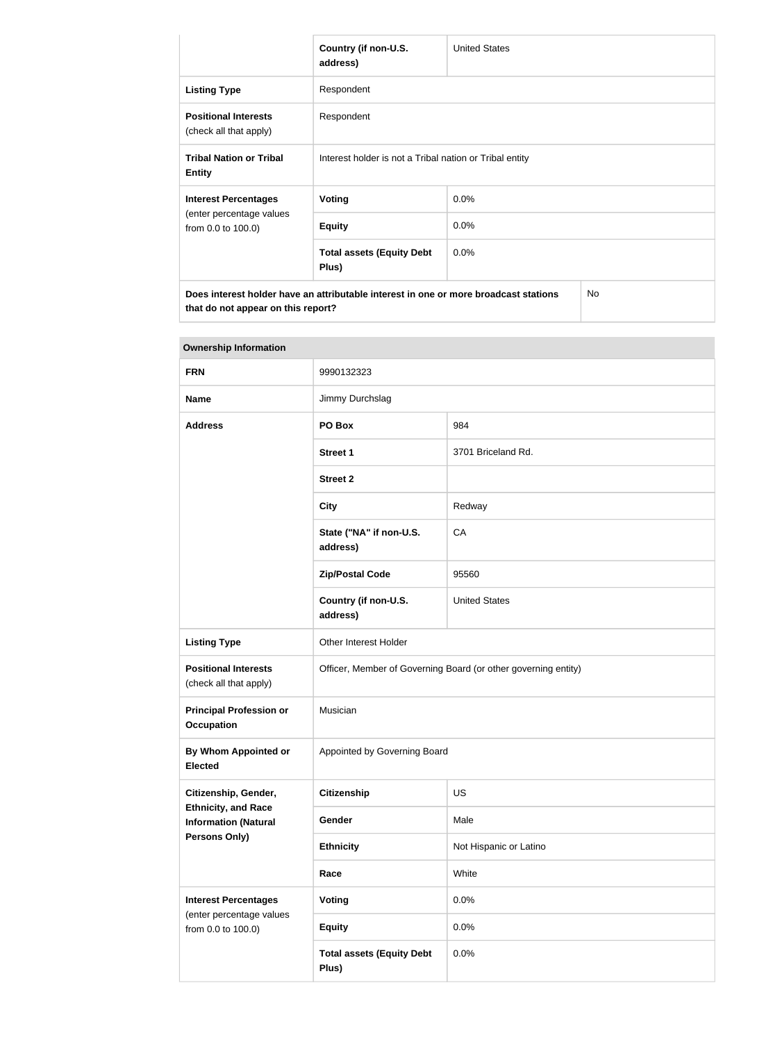|                                                       | Country (if non-U.S.<br>address)                                                     | <b>United States</b> |     |
|-------------------------------------------------------|--------------------------------------------------------------------------------------|----------------------|-----|
| <b>Listing Type</b>                                   | Respondent                                                                           |                      |     |
| <b>Positional Interests</b><br>(check all that apply) | Respondent                                                                           |                      |     |
| <b>Tribal Nation or Tribal</b><br><b>Entity</b>       | Interest holder is not a Tribal nation or Tribal entity                              |                      |     |
| <b>Interest Percentages</b>                           | Voting                                                                               | 0.0%                 |     |
| (enter percentage values<br>from 0.0 to 100.0)        | <b>Equity</b>                                                                        | 0.0%                 |     |
|                                                       | <b>Total assets (Equity Debt</b><br>Plus)                                            | $0.0\%$              |     |
| that do not appear on this report?                    | Does interest holder have an attributable interest in one or more broadcast stations |                      | No. |

| <b>Ownership Information</b>                            |                                                                |                        |  |
|---------------------------------------------------------|----------------------------------------------------------------|------------------------|--|
| <b>FRN</b>                                              | 9990132323                                                     |                        |  |
| <b>Name</b>                                             | Jimmy Durchslag                                                |                        |  |
| <b>Address</b>                                          | PO Box                                                         | 984                    |  |
|                                                         | <b>Street 1</b>                                                | 3701 Briceland Rd.     |  |
|                                                         | <b>Street 2</b>                                                |                        |  |
|                                                         | <b>City</b>                                                    | Redway                 |  |
|                                                         | State ("NA" if non-U.S.<br>address)                            | CA                     |  |
|                                                         | <b>Zip/Postal Code</b>                                         | 95560                  |  |
|                                                         | Country (if non-U.S.<br>address)                               | <b>United States</b>   |  |
| <b>Listing Type</b>                                     | Other Interest Holder                                          |                        |  |
| <b>Positional Interests</b><br>(check all that apply)   | Officer, Member of Governing Board (or other governing entity) |                        |  |
| <b>Principal Profession or</b><br><b>Occupation</b>     | Musician                                                       |                        |  |
| <b>By Whom Appointed or</b><br><b>Elected</b>           | Appointed by Governing Board                                   |                        |  |
| Citizenship, Gender,<br><b>Ethnicity, and Race</b>      | <b>Citizenship</b>                                             | <b>US</b>              |  |
| <b>Information (Natural</b>                             | Gender                                                         | Male                   |  |
| Persons Only)                                           | <b>Ethnicity</b>                                               | Not Hispanic or Latino |  |
|                                                         | Race                                                           | White                  |  |
| <b>Interest Percentages</b><br>(enter percentage values | <b>Voting</b>                                                  | 0.0%                   |  |
| from 0.0 to 100.0)                                      | <b>Equity</b>                                                  | 0.0%                   |  |
|                                                         | <b>Total assets (Equity Debt</b><br>Plus)                      | 0.0%                   |  |

**Ownership Information**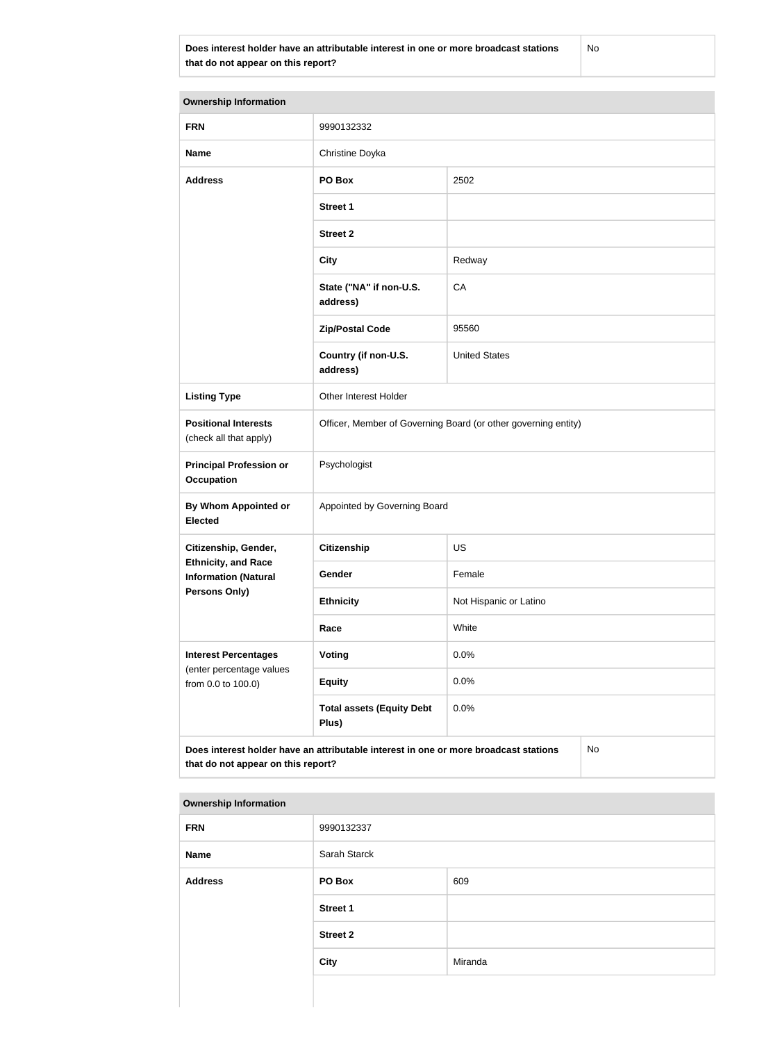**Does interest holder have an attributable interest in one or more broadcast stations that do not appear on this report?**

No

| <b>Ownership Information</b>                                                                                                     |                                                                |                        |  |  |
|----------------------------------------------------------------------------------------------------------------------------------|----------------------------------------------------------------|------------------------|--|--|
| <b>FRN</b>                                                                                                                       | 9990132332                                                     |                        |  |  |
| <b>Name</b>                                                                                                                      | Christine Doyka                                                |                        |  |  |
| <b>Address</b>                                                                                                                   | PO Box                                                         | 2502                   |  |  |
|                                                                                                                                  | <b>Street 1</b>                                                |                        |  |  |
|                                                                                                                                  | <b>Street 2</b>                                                |                        |  |  |
|                                                                                                                                  | <b>City</b>                                                    | Redway                 |  |  |
|                                                                                                                                  | State ("NA" if non-U.S.<br>address)                            | CA                     |  |  |
|                                                                                                                                  | <b>Zip/Postal Code</b>                                         | 95560                  |  |  |
|                                                                                                                                  | Country (if non-U.S.<br>address)                               | <b>United States</b>   |  |  |
| <b>Listing Type</b>                                                                                                              | Other Interest Holder                                          |                        |  |  |
| <b>Positional Interests</b><br>(check all that apply)                                                                            | Officer, Member of Governing Board (or other governing entity) |                        |  |  |
| <b>Principal Profession or</b><br><b>Occupation</b>                                                                              | Psychologist                                                   |                        |  |  |
| <b>By Whom Appointed or</b><br><b>Elected</b>                                                                                    | Appointed by Governing Board                                   |                        |  |  |
| Citizenship, Gender,                                                                                                             | <b>Citizenship</b>                                             | <b>US</b>              |  |  |
| <b>Ethnicity, and Race</b><br><b>Information (Natural</b>                                                                        | Gender                                                         | Female                 |  |  |
| <b>Persons Only)</b>                                                                                                             | <b>Ethnicity</b>                                               | Not Hispanic or Latino |  |  |
|                                                                                                                                  | Race                                                           | White                  |  |  |
| <b>Interest Percentages</b><br>(enter percentage values                                                                          | <b>Voting</b>                                                  | 0.0%                   |  |  |
| from 0.0 to 100.0)                                                                                                               | <b>Equity</b>                                                  | 0.0%                   |  |  |
|                                                                                                                                  | <b>Total assets (Equity Debt</b><br>Plus)                      | 0.0%                   |  |  |
| Does interest holder have an attributable interest in one or more broadcast stations<br>No<br>that do not appear on this report? |                                                                |                        |  |  |

#### **Ownership Information**

| <b>FRN</b>     | 9990132337      |         |  |
|----------------|-----------------|---------|--|
| Name           | Sarah Starck    |         |  |
| <b>Address</b> | PO Box          | 609     |  |
|                | <b>Street 1</b> |         |  |
|                | <b>Street 2</b> |         |  |
|                | <b>City</b>     | Miranda |  |
|                |                 |         |  |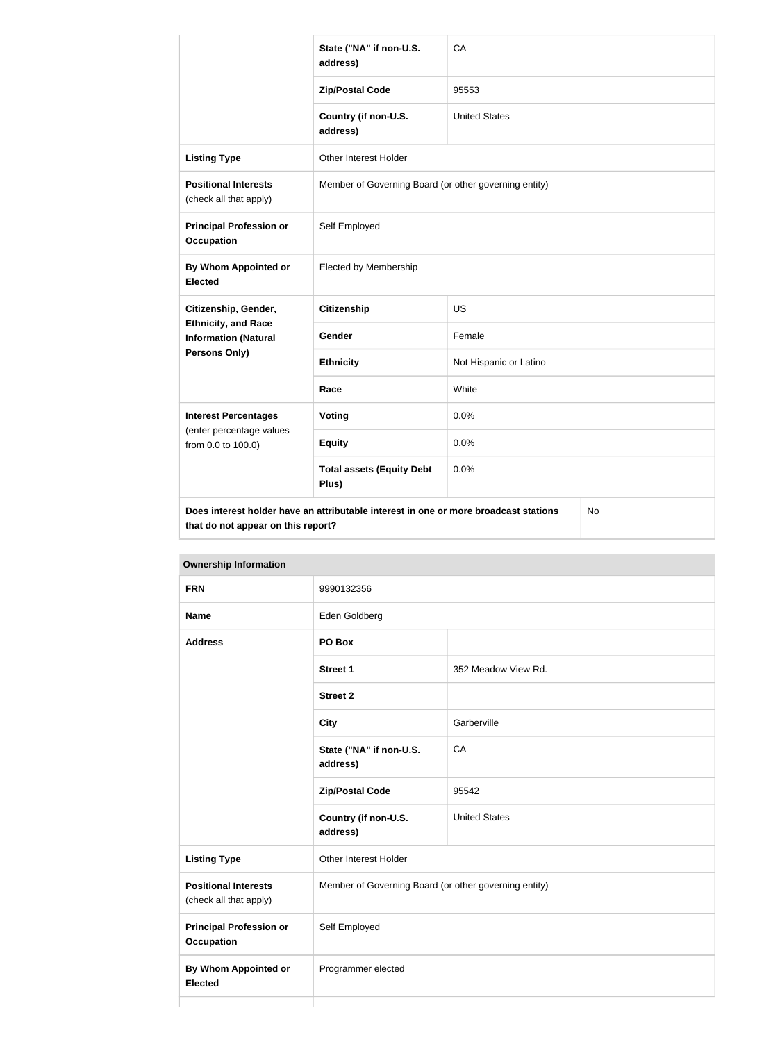|                                                           | State ("NA" if non-U.S.<br>address)                                                  | CA                     |           |
|-----------------------------------------------------------|--------------------------------------------------------------------------------------|------------------------|-----------|
|                                                           | <b>Zip/Postal Code</b>                                                               | 95553                  |           |
|                                                           | Country (if non-U.S.<br>address)                                                     | <b>United States</b>   |           |
| <b>Listing Type</b>                                       | <b>Other Interest Holder</b>                                                         |                        |           |
| <b>Positional Interests</b><br>(check all that apply)     | Member of Governing Board (or other governing entity)                                |                        |           |
| <b>Principal Profession or</b><br><b>Occupation</b>       | Self Employed                                                                        |                        |           |
| By Whom Appointed or<br><b>Elected</b>                    | <b>Elected by Membership</b>                                                         |                        |           |
| Citizenship, Gender,                                      | <b>Citizenship</b>                                                                   | <b>US</b>              |           |
| <b>Ethnicity, and Race</b><br><b>Information (Natural</b> | Gender                                                                               | Female                 |           |
| Persons Only)                                             | <b>Ethnicity</b>                                                                     | Not Hispanic or Latino |           |
|                                                           | Race                                                                                 | White                  |           |
| <b>Interest Percentages</b>                               | <b>Voting</b>                                                                        | 0.0%                   |           |
| (enter percentage values<br>from 0.0 to 100.0)            | <b>Equity</b>                                                                        | 0.0%                   |           |
|                                                           | <b>Total assets (Equity Debt</b><br>Plus)                                            | 0.0%                   |           |
| that do not appear on this report?                        | Does interest holder have an attributable interest in one or more broadcast stations |                        | <b>No</b> |

| <b>Ownership Information</b>                          |                                                       |                      |
|-------------------------------------------------------|-------------------------------------------------------|----------------------|
| <b>FRN</b>                                            | 9990132356                                            |                      |
| <b>Name</b>                                           | Eden Goldberg                                         |                      |
| <b>Address</b>                                        | PO Box                                                |                      |
|                                                       | <b>Street 1</b>                                       | 352 Meadow View Rd.  |
|                                                       | <b>Street 2</b>                                       |                      |
|                                                       | <b>City</b>                                           | Garberville          |
|                                                       | State ("NA" if non-U.S.<br>address)                   | CA                   |
|                                                       | <b>Zip/Postal Code</b>                                | 95542                |
|                                                       | Country (if non-U.S.<br>address)                      | <b>United States</b> |
| <b>Listing Type</b>                                   | Other Interest Holder                                 |                      |
| <b>Positional Interests</b><br>(check all that apply) | Member of Governing Board (or other governing entity) |                      |
| <b>Principal Profession or</b><br><b>Occupation</b>   | Self Employed                                         |                      |
| <b>By Whom Appointed or</b><br><b>Elected</b>         | Programmer elected                                    |                      |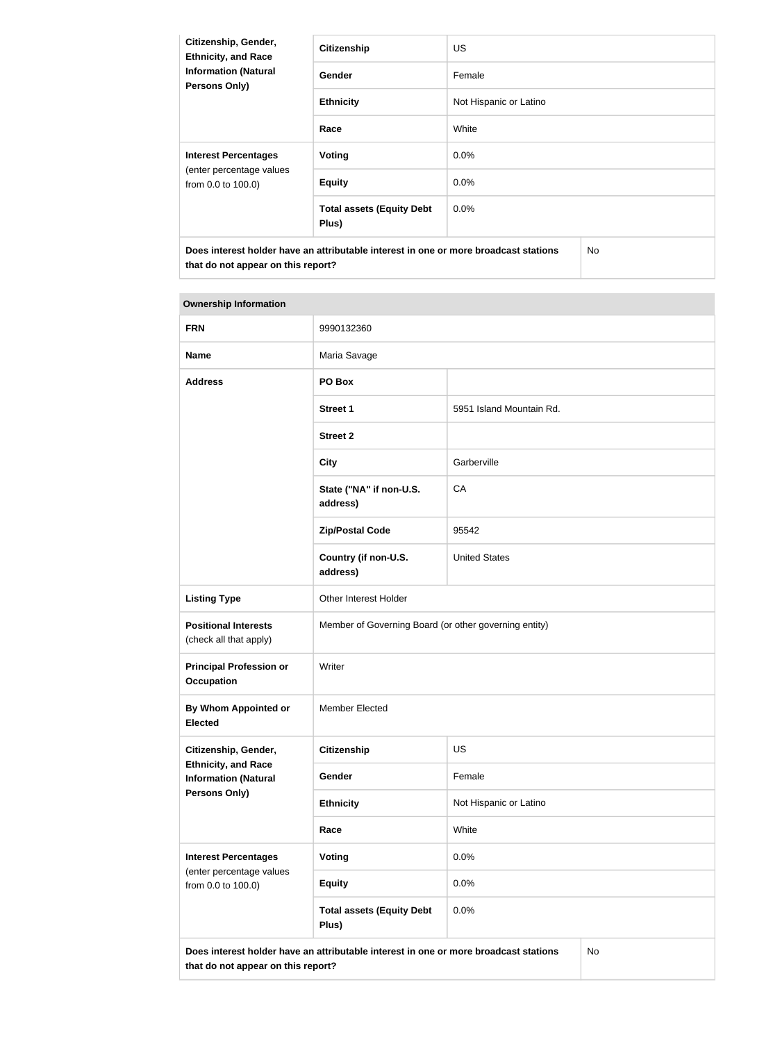| Citizenship, Gender,<br><b>Ethnicity, and Race</b><br><b>Information (Natural</b><br><b>Persons Only)</b> | <b>Citizenship</b>                        | <b>US</b>              |     |
|-----------------------------------------------------------------------------------------------------------|-------------------------------------------|------------------------|-----|
|                                                                                                           | <b>Gender</b>                             | Female                 |     |
|                                                                                                           | <b>Ethnicity</b>                          | Not Hispanic or Latino |     |
|                                                                                                           | Race                                      | White                  |     |
| <b>Interest Percentages</b><br>(enter percentage values<br>from 0.0 to 100.0)                             | Voting                                    | $0.0\%$                |     |
|                                                                                                           | <b>Equity</b>                             | $0.0\%$                |     |
|                                                                                                           | <b>Total assets (Equity Debt</b><br>Plus) | $0.0\%$                |     |
| Does interest holder have an attributable interest in one or more broadcast stations                      |                                           |                        | No. |

**that do not appear on this report?**

| <b>Ownership Information</b>                                                      |                                                                                      |                          |           |
|-----------------------------------------------------------------------------------|--------------------------------------------------------------------------------------|--------------------------|-----------|
| <b>FRN</b>                                                                        | 9990132360                                                                           |                          |           |
| <b>Name</b>                                                                       | Maria Savage                                                                         |                          |           |
| <b>Address</b>                                                                    | PO Box                                                                               |                          |           |
|                                                                                   | <b>Street 1</b>                                                                      | 5951 Island Mountain Rd. |           |
|                                                                                   | <b>Street 2</b>                                                                      |                          |           |
|                                                                                   | <b>City</b>                                                                          | Garberville              |           |
|                                                                                   | State ("NA" if non-U.S.<br>address)                                                  | CA                       |           |
|                                                                                   | <b>Zip/Postal Code</b>                                                               | 95542                    |           |
|                                                                                   | Country (if non-U.S.<br>address)                                                     | <b>United States</b>     |           |
| <b>Listing Type</b>                                                               | Other Interest Holder                                                                |                          |           |
| <b>Positional Interests</b><br>(check all that apply)                             | Member of Governing Board (or other governing entity)                                |                          |           |
| <b>Principal Profession or</b><br><b>Occupation</b>                               | Writer                                                                               |                          |           |
| By Whom Appointed or<br><b>Elected</b>                                            | <b>Member Elected</b>                                                                |                          |           |
| Citizenship, Gender,<br><b>Ethnicity, and Race</b><br><b>Information (Natural</b> | <b>Citizenship</b>                                                                   | <b>US</b>                |           |
|                                                                                   | Gender                                                                               | Female                   |           |
| Persons Only)                                                                     | <b>Ethnicity</b>                                                                     | Not Hispanic or Latino   |           |
|                                                                                   | Race                                                                                 | White                    |           |
| <b>Interest Percentages</b>                                                       | Voting                                                                               | 0.0%                     |           |
| (enter percentage values<br>from 0.0 to 100.0)                                    | <b>Equity</b>                                                                        | 0.0%                     |           |
|                                                                                   | <b>Total assets (Equity Debt</b><br>Plus)                                            | 0.0%                     |           |
| that do not appear on this report?                                                | Does interest holder have an attributable interest in one or more broadcast stations |                          | <b>No</b> |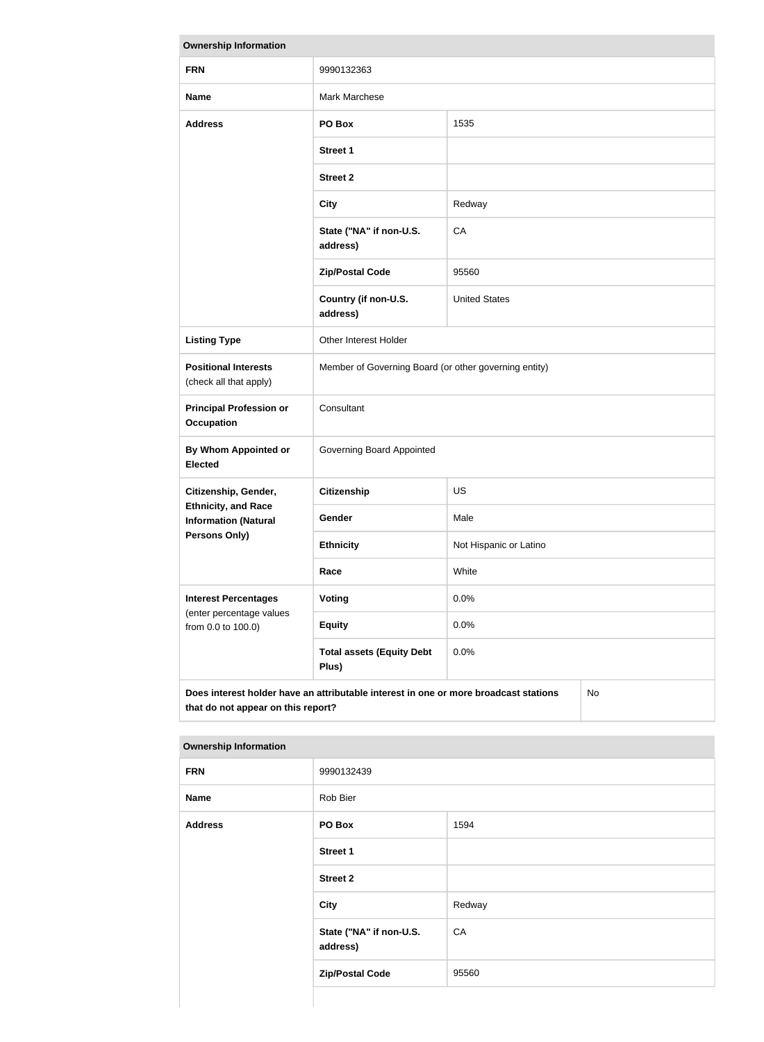| <b>Ownership Information</b>                                                  |                                                                                      |                        |    |
|-------------------------------------------------------------------------------|--------------------------------------------------------------------------------------|------------------------|----|
| <b>FRN</b>                                                                    | 9990132363                                                                           |                        |    |
| <b>Name</b>                                                                   | Mark Marchese                                                                        |                        |    |
| <b>Address</b>                                                                | PO Box                                                                               | 1535                   |    |
|                                                                               | <b>Street 1</b>                                                                      |                        |    |
|                                                                               | <b>Street 2</b>                                                                      |                        |    |
|                                                                               | <b>City</b>                                                                          | Redway                 |    |
|                                                                               | State ("NA" if non-U.S.<br>address)                                                  | CA                     |    |
|                                                                               | <b>Zip/Postal Code</b>                                                               | 95560                  |    |
|                                                                               | Country (if non-U.S.<br>address)                                                     | <b>United States</b>   |    |
| <b>Listing Type</b>                                                           | Other Interest Holder                                                                |                        |    |
| <b>Positional Interests</b><br>(check all that apply)                         | Member of Governing Board (or other governing entity)                                |                        |    |
| <b>Principal Profession or</b><br><b>Occupation</b>                           | Consultant                                                                           |                        |    |
| <b>By Whom Appointed or</b><br><b>Elected</b>                                 | Governing Board Appointed                                                            |                        |    |
| Citizenship, Gender,                                                          | <b>Citizenship</b>                                                                   | <b>US</b>              |    |
| <b>Ethnicity, and Race</b><br><b>Information (Natural</b>                     | Gender                                                                               | Male                   |    |
| <b>Persons Only)</b>                                                          | <b>Ethnicity</b>                                                                     | Not Hispanic or Latino |    |
|                                                                               | Race                                                                                 | White                  |    |
| <b>Interest Percentages</b><br>(enter percentage values<br>from 0.0 to 100.0) | <b>Voting</b>                                                                        | 0.0%                   |    |
|                                                                               | <b>Equity</b>                                                                        | 0.0%                   |    |
|                                                                               | <b>Total assets (Equity Debt</b><br>Plus)                                            | 0.0%                   |    |
| that do not appear on this report?                                            | Does interest holder have an attributable interest in one or more broadcast stations |                        | No |

| <b>FRN</b>     | 9990132439                          |        |  |
|----------------|-------------------------------------|--------|--|
| <b>Name</b>    | Rob Bier                            |        |  |
| <b>Address</b> | PO Box                              | 1594   |  |
|                | Street 1                            |        |  |
|                | <b>Street 2</b>                     |        |  |
|                | City                                | Redway |  |
|                | State ("NA" if non-U.S.<br>address) | CA     |  |
|                | <b>Zip/Postal Code</b>              | 95560  |  |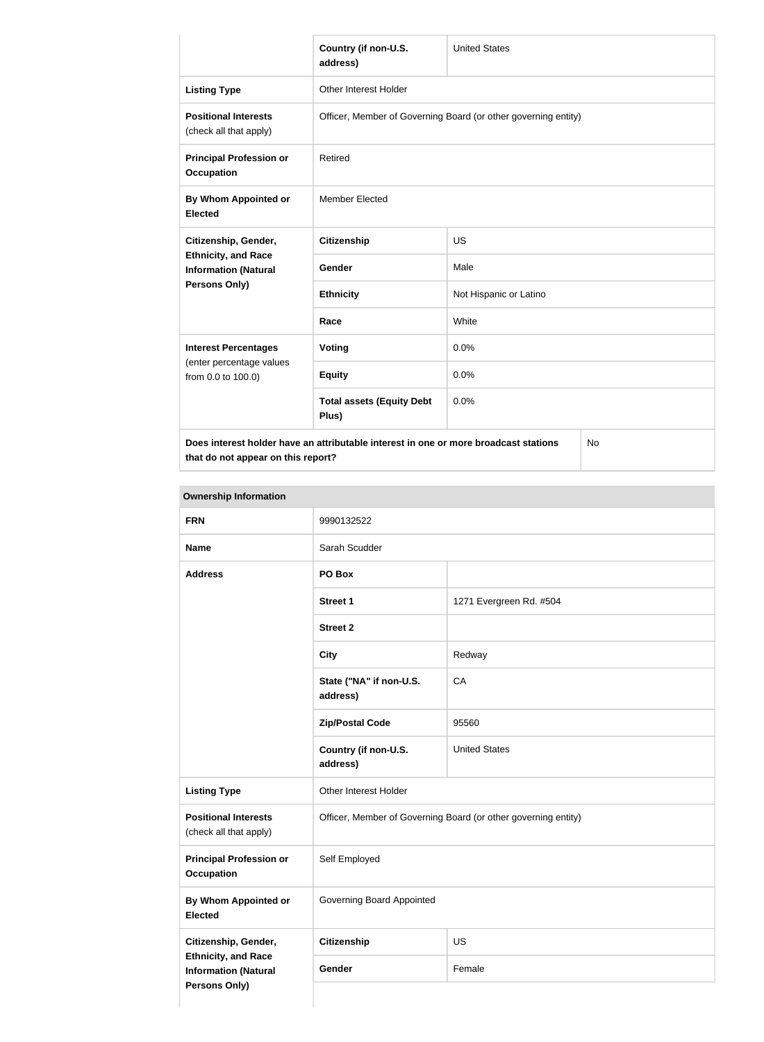|                                                                                                    | Country (if non-U.S.<br>address)                                                     | <b>United States</b>   |    |
|----------------------------------------------------------------------------------------------------|--------------------------------------------------------------------------------------|------------------------|----|
| <b>Listing Type</b>                                                                                | <b>Other Interest Holder</b>                                                         |                        |    |
| <b>Positional Interests</b><br>(check all that apply)                                              | Officer, Member of Governing Board (or other governing entity)                       |                        |    |
| <b>Principal Profession or</b><br><b>Occupation</b>                                                | Retired                                                                              |                        |    |
| By Whom Appointed or<br><b>Elected</b>                                                             | <b>Member Elected</b>                                                                |                        |    |
| Citizenship, Gender,<br><b>Ethnicity, and Race</b><br><b>Information (Natural</b><br>Persons Only) | <b>Citizenship</b>                                                                   | <b>US</b>              |    |
|                                                                                                    | Gender                                                                               | Male                   |    |
|                                                                                                    | <b>Ethnicity</b>                                                                     | Not Hispanic or Latino |    |
|                                                                                                    | Race                                                                                 | White                  |    |
| <b>Interest Percentages</b><br>(enter percentage values<br>from 0.0 to 100.0)                      | Voting                                                                               | 0.0%                   |    |
|                                                                                                    | <b>Equity</b>                                                                        | 0.0%                   |    |
|                                                                                                    | <b>Total assets (Equity Debt</b><br>Plus)                                            | 0.0%                   |    |
|                                                                                                    | Does interest holder have an attributable interest in one or more broadcast stations |                        | No |

**that do not appear on this report?**

No

| <b>FRN</b>                                                                 | 9990132522                                                     |                         |
|----------------------------------------------------------------------------|----------------------------------------------------------------|-------------------------|
| <b>Name</b>                                                                | Sarah Scudder                                                  |                         |
| <b>Address</b>                                                             | PO Box                                                         |                         |
|                                                                            | <b>Street 1</b>                                                | 1271 Evergreen Rd. #504 |
|                                                                            | <b>Street 2</b>                                                |                         |
|                                                                            | <b>City</b>                                                    | Redway                  |
|                                                                            | State ("NA" if non-U.S.<br>address)                            | CA                      |
|                                                                            | <b>Zip/Postal Code</b>                                         | 95560                   |
|                                                                            | Country (if non-U.S.<br>address)                               | <b>United States</b>    |
| <b>Listing Type</b>                                                        | Other Interest Holder                                          |                         |
| <b>Positional Interests</b><br>(check all that apply)                      | Officer, Member of Governing Board (or other governing entity) |                         |
| <b>Principal Profession or</b><br><b>Occupation</b>                        | Self Employed                                                  |                         |
| <b>By Whom Appointed or</b><br><b>Elected</b>                              | Governing Board Appointed                                      |                         |
| Citizenship, Gender,                                                       | <b>Citizenship</b><br>US                                       |                         |
| <b>Ethnicity, and Race</b><br><b>Information (Natural</b><br>Persons Only) | Gender                                                         | Female                  |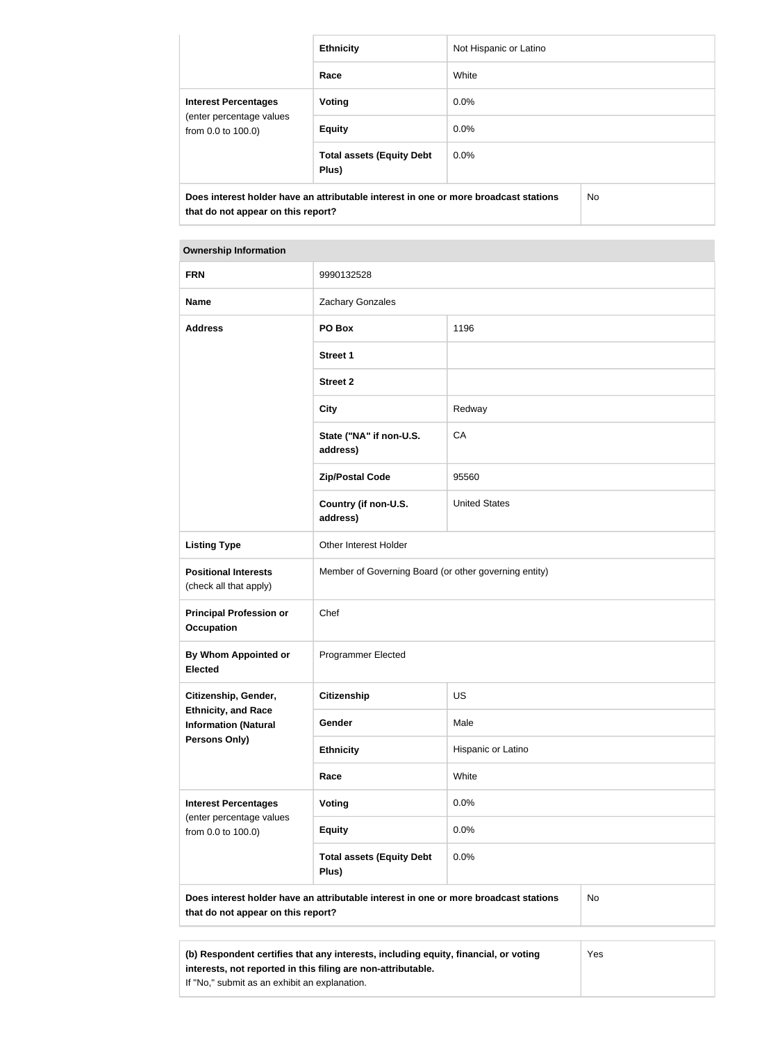|                                                                               | <b>Ethnicity</b>                                                                     | Not Hispanic or Latino |     |
|-------------------------------------------------------------------------------|--------------------------------------------------------------------------------------|------------------------|-----|
|                                                                               | Race                                                                                 | White                  |     |
| <b>Interest Percentages</b><br>(enter percentage values<br>from 0.0 to 100.0) | Voting                                                                               | $0.0\%$                |     |
|                                                                               | <b>Equity</b>                                                                        | $0.0\%$                |     |
|                                                                               | <b>Total assets (Equity Debt</b><br>Plus)                                            | $0.0\%$                |     |
| that do not appear on this report?                                            | Does interest holder have an attributable interest in one or more broadcast stations |                        | No. |

#### **Ownership Information**

| <b>FRN</b>                                                | 9990132528                                                                           |                      |     |
|-----------------------------------------------------------|--------------------------------------------------------------------------------------|----------------------|-----|
| <b>Name</b>                                               | Zachary Gonzales                                                                     |                      |     |
| <b>Address</b>                                            | PO Box                                                                               | 1196                 |     |
|                                                           | <b>Street 1</b>                                                                      |                      |     |
|                                                           | <b>Street 2</b>                                                                      |                      |     |
|                                                           | <b>City</b>                                                                          | Redway               |     |
|                                                           | State ("NA" if non-U.S.<br>address)                                                  | CA                   |     |
|                                                           | <b>Zip/Postal Code</b>                                                               | 95560                |     |
|                                                           | Country (if non-U.S.<br>address)                                                     | <b>United States</b> |     |
| <b>Listing Type</b>                                       | Other Interest Holder                                                                |                      |     |
| <b>Positional Interests</b><br>(check all that apply)     | Member of Governing Board (or other governing entity)                                |                      |     |
| <b>Principal Profession or</b><br><b>Occupation</b>       | Chef                                                                                 |                      |     |
| <b>By Whom Appointed or</b><br><b>Elected</b>             | <b>Programmer Elected</b>                                                            |                      |     |
| Citizenship, Gender,                                      | <b>Citizenship</b>                                                                   | US                   |     |
| <b>Ethnicity, and Race</b><br><b>Information (Natural</b> | Gender                                                                               | Male                 |     |
| Persons Only)                                             | <b>Ethnicity</b>                                                                     | Hispanic or Latino   |     |
|                                                           | Race                                                                                 | White                |     |
| <b>Interest Percentages</b>                               | <b>Voting</b>                                                                        | 0.0%                 |     |
| (enter percentage values<br>from 0.0 to 100.0)            | <b>Equity</b>                                                                        | 0.0%                 |     |
|                                                           | <b>Total assets (Equity Debt</b><br>Plus)                                            | 0.0%                 |     |
| that do not appear on this report?                        | Does interest holder have an attributable interest in one or more broadcast stations |                      | No  |
|                                                           |                                                                                      |                      |     |
|                                                           | (b) Respondent certifies that any interests, including equity, financial, or voting  |                      | Yes |

**interests, not reported in this filing are non-attributable.**

If "No," submit as an exhibit an explanation.